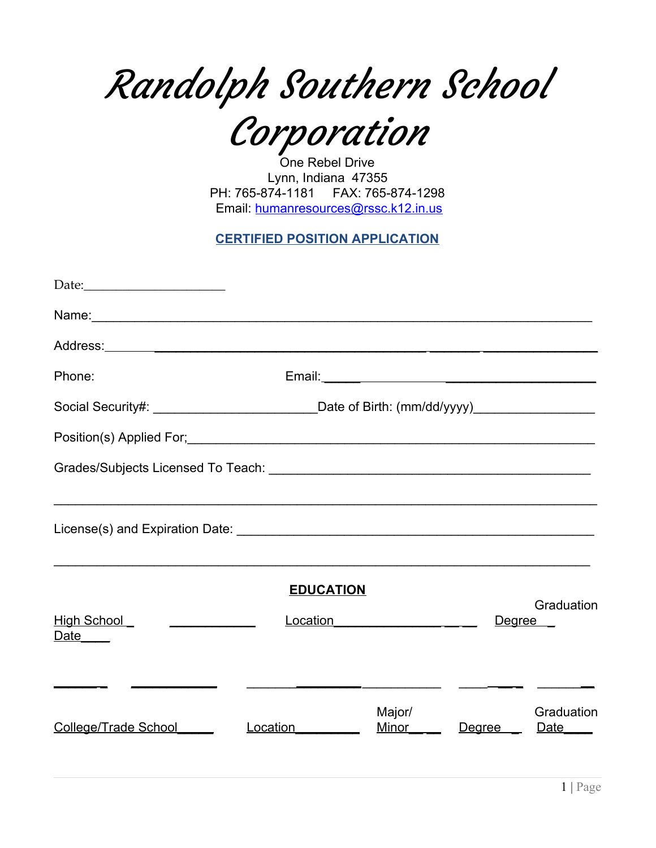Randolph Southern School

Corporation

One Rebel Drive Lynn, Indiana 47355 PH: 765-874-1181 FAX: 765-874-1298 Email: [humanresources@rssc.k12.in.us](mailto:humanresources@rssc.k12.in.us)

**CERTIFIED POSITION APPLICATION**

| Phone:                                                                                              |                          |                 |            |                                |
|-----------------------------------------------------------------------------------------------------|--------------------------|-----------------|------------|--------------------------------|
| Social Security#: ________________________________Date of Birth: (mm/dd/yyyy)______________________ |                          |                 |            |                                |
|                                                                                                     |                          |                 |            |                                |
|                                                                                                     |                          |                 |            |                                |
|                                                                                                     |                          |                 |            |                                |
|                                                                                                     | <b>EDUCATION</b>         |                 |            | Graduation                     |
| High School<br>Date <sub>_____</sub>                                                                | Location <u>Location</u> |                 | Degree     |                                |
|                                                                                                     |                          |                 |            |                                |
| College/Trade School                                                                                | Location                 | Major/<br>Minor | Degree ___ | Graduation<br>Date <u>Date</u> |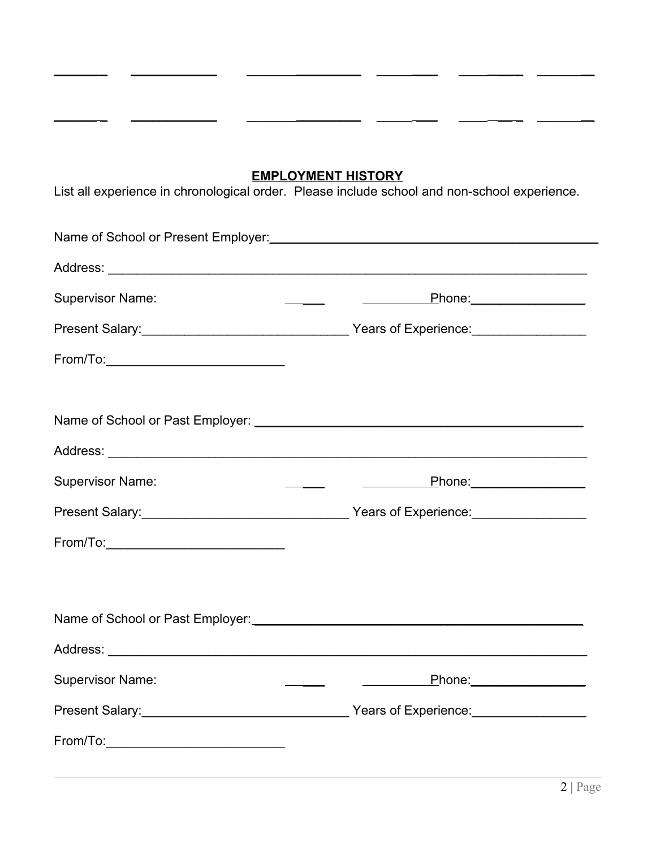### **EMPLOYMENT HISTORY**

\_\_\_\_\_\_ \_ \_\_\_\_\_\_\_\_\_\_\_\_ \_\_\_\_\_\_\_\_\_\_\_\_\_\_\_\_ \_\_\_\_\_ \_\_\_ \_\_\_\_ \_\_ \_ \_\_\_\_\_\_\_\_

\_\_\_\_\_\_ \_ \_\_\_\_\_\_\_\_\_\_\_\_ \_\_\_\_\_\_\_\_\_\_\_\_\_\_\_\_ \_\_\_\_\_ \_\_\_ \_\_\_\_ \_\_ \_ \_\_\_\_\_\_\_\_

List all experience in chronological order. Please include school and non-school experience.

| <b>Supervisor Name:</b>                                                                                                                                                                                                                                                                                                                                          |                                                 |  |
|------------------------------------------------------------------------------------------------------------------------------------------------------------------------------------------------------------------------------------------------------------------------------------------------------------------------------------------------------------------|-------------------------------------------------|--|
|                                                                                                                                                                                                                                                                                                                                                                  |                                                 |  |
|                                                                                                                                                                                                                                                                                                                                                                  |                                                 |  |
|                                                                                                                                                                                                                                                                                                                                                                  |                                                 |  |
|                                                                                                                                                                                                                                                                                                                                                                  |                                                 |  |
|                                                                                                                                                                                                                                                                                                                                                                  |                                                 |  |
| <b>Supervisor Name:</b>                                                                                                                                                                                                                                                                                                                                          |                                                 |  |
|                                                                                                                                                                                                                                                                                                                                                                  |                                                 |  |
| From/To:___________________________________                                                                                                                                                                                                                                                                                                                      |                                                 |  |
|                                                                                                                                                                                                                                                                                                                                                                  |                                                 |  |
|                                                                                                                                                                                                                                                                                                                                                                  |                                                 |  |
|                                                                                                                                                                                                                                                                                                                                                                  |                                                 |  |
| <b>Supervisor Name:</b>                                                                                                                                                                                                                                                                                                                                          | <u>Phone: Phone</u><br>$\overline{\phantom{a}}$ |  |
|                                                                                                                                                                                                                                                                                                                                                                  |                                                 |  |
| $From/To: \begin{tabular}{@{}c@{}} \hline \rule{0.2cm}{0.2cm} \rule{0.2cm}{0.2cm} \rule{0.2cm}{0.2cm} \rule{0.2cm}{0.2cm} \rule{0.2cm}{0.2cm} \rule{0.2cm}{0.2cm} \rule{0.2cm}{0.2cm} \rule{0.2cm}{0.2cm} \rule{0.2cm}{0.2cm} \rule{0.2cm}{0.2cm} \rule{0.2cm}{0.2cm} \rule{0.2cm}{0.2cm} \rule{0.2cm}{0.2cm} \rule{0.2cm}{0.2cm} \rule{0.2cm}{0.2cm} \rule{0.2$ |                                                 |  |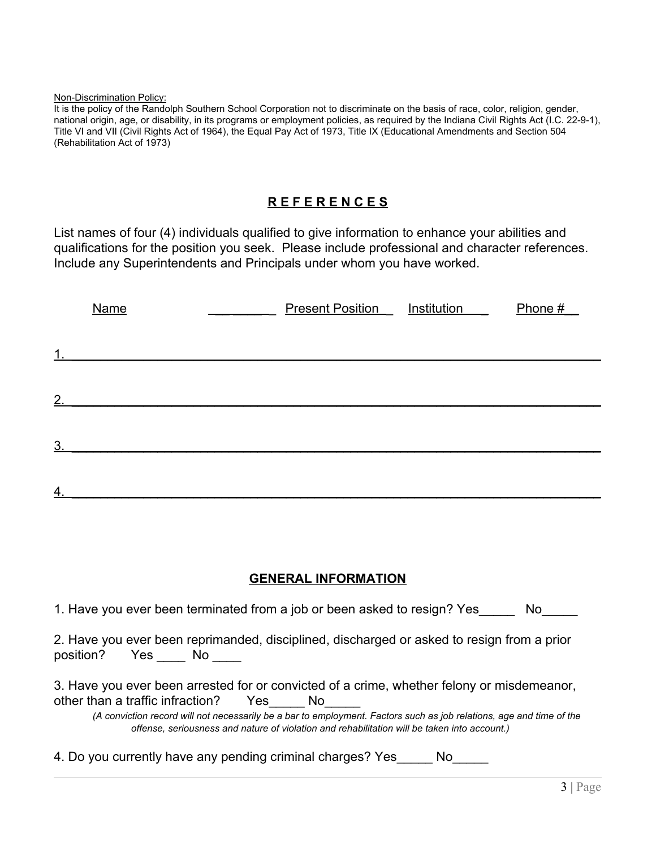Non-Discrimination Policy:

It is the policy of the Randolph Southern School Corporation not to discriminate on the basis of race, color, religion, gender, national origin, age, or disability, in its programs or employment policies, as required by the Indiana Civil Rights Act (I.C. 22-9-1), Title VI and VII (Civil Rights Act of 1964), the Equal Pay Act of 1973, Title IX (Educational Amendments and Section 504 (Rehabilitation Act of 1973)

# **R E F E R E N C E S**

List names of four (4) individuals qualified to give information to enhance your abilities and qualifications for the position you seek. Please include professional and character references. Include any Superintendents and Principals under whom you have worked.

|                | <b>Name</b> | <b>Present Position</b> Institution _ | Phone $#$ |
|----------------|-------------|---------------------------------------|-----------|
|                |             |                                       |           |
| 1 <sub>1</sub> |             |                                       |           |
| 2.             |             |                                       |           |
|                |             |                                       |           |
| 3 <sub>1</sub> |             |                                       |           |
|                |             |                                       |           |
| 4.             |             |                                       |           |

## **GENERAL INFORMATION**

1. Have you ever been terminated from a job or been asked to resign? Yes No 2. Have you ever been reprimanded, disciplined, discharged or asked to resign from a prior position? Yes \_\_\_\_\_ No \_\_\_\_\_ 3. Have you ever been arrested for or convicted of a crime, whether felony or misdemeanor, other than a traffic infraction? Yes No *(A conviction record will not necessarily be a bar to employment. Factors such as job relations, age and time of the offense, seriousness and nature of violation and rehabilitation will be taken into account.)*

4. Do you currently have any pending criminal charges? Yes\_\_\_\_\_ No\_\_\_\_\_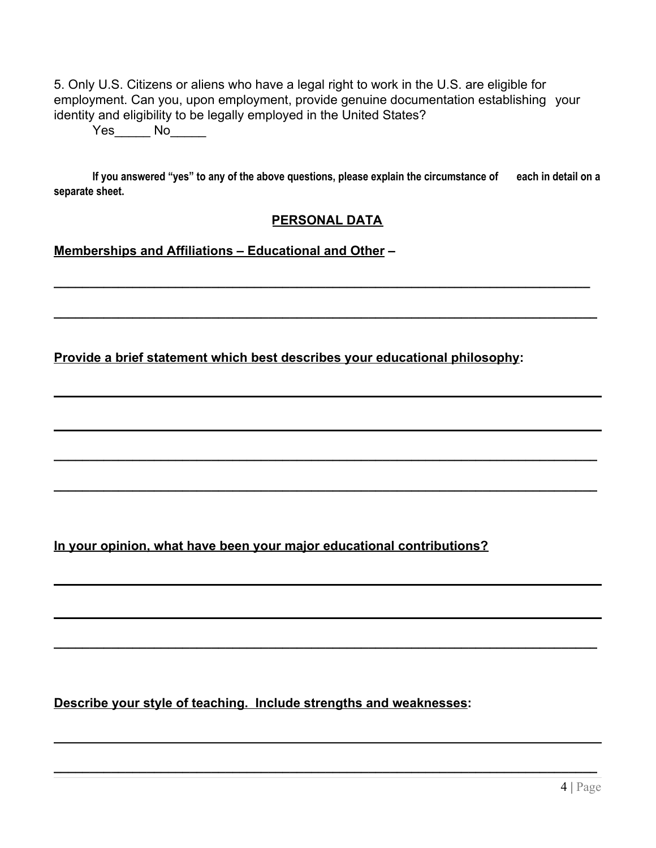5. Only U.S. Citizens or aliens who have a legal right to work in the U.S. are eligible for employment. Can you, upon employment, provide genuine documentation establishing your identity and eligibility to be legally employed in the United States?

Yes<sup>No</sup>

If you answered "yes" to any of the above questions, please explain the circumstance of each in detail on a **separate sheet.**

#### **PERSONAL DATA**

**\_\_\_\_\_\_\_\_\_\_\_\_\_\_\_\_\_\_\_\_\_\_\_\_\_\_\_\_\_\_\_\_\_\_\_\_\_\_\_\_\_\_\_\_\_\_\_\_\_\_\_\_\_\_\_\_\_\_\_\_\_\_\_\_\_\_\_\_\_\_\_\_\_\_\_**

**\_\_\_\_\_\_\_\_\_\_\_\_\_\_\_\_\_\_\_\_\_\_\_\_\_\_\_\_\_\_\_\_\_\_\_\_\_\_\_\_\_\_\_\_\_\_\_\_\_\_\_\_\_\_\_\_\_\_\_\_\_\_\_\_\_\_\_\_\_\_\_\_\_\_\_\_**

**\_\_\_\_\_\_\_\_\_\_\_\_\_\_\_\_\_\_\_\_\_\_\_\_\_\_\_\_\_\_\_\_\_\_\_\_\_\_\_\_\_\_\_\_\_\_\_\_\_\_\_\_\_\_\_\_\_\_\_\_\_\_\_\_\_\_\_\_\_\_\_\_\_\_\_\_**

**\_\_\_\_\_\_\_\_\_\_\_\_\_\_\_\_\_\_\_\_\_\_\_\_\_\_\_\_\_\_\_\_\_\_\_\_\_\_\_\_\_\_\_\_\_\_\_\_\_\_\_\_\_\_\_\_\_\_\_\_\_\_\_\_\_\_\_\_\_\_\_\_\_\_\_\_**

**\_\_\_\_\_\_\_\_\_\_\_\_\_\_\_\_\_\_\_\_\_\_\_\_\_\_\_\_\_\_\_\_\_\_\_\_\_\_\_\_\_\_\_\_\_\_\_\_\_\_\_\_\_\_\_\_\_\_\_\_\_\_\_\_\_\_\_\_\_\_\_\_\_\_\_\_**

**\_\_\_\_\_\_\_\_\_\_\_\_\_\_\_\_\_\_\_\_\_\_\_\_\_\_\_\_\_\_\_\_\_\_\_\_\_\_\_\_\_\_\_\_\_\_\_\_\_\_\_\_\_\_\_\_\_\_\_\_\_\_\_\_\_\_\_\_\_\_\_\_\_\_\_\_**

**Memberships and Affiliations – Educational and Other –**

**Provide a brief statement which best describes your educational philosophy:**

**In your opinion, what have been your major educational contributions?**

**Describe your style of teaching. Include strengths and weaknesses:**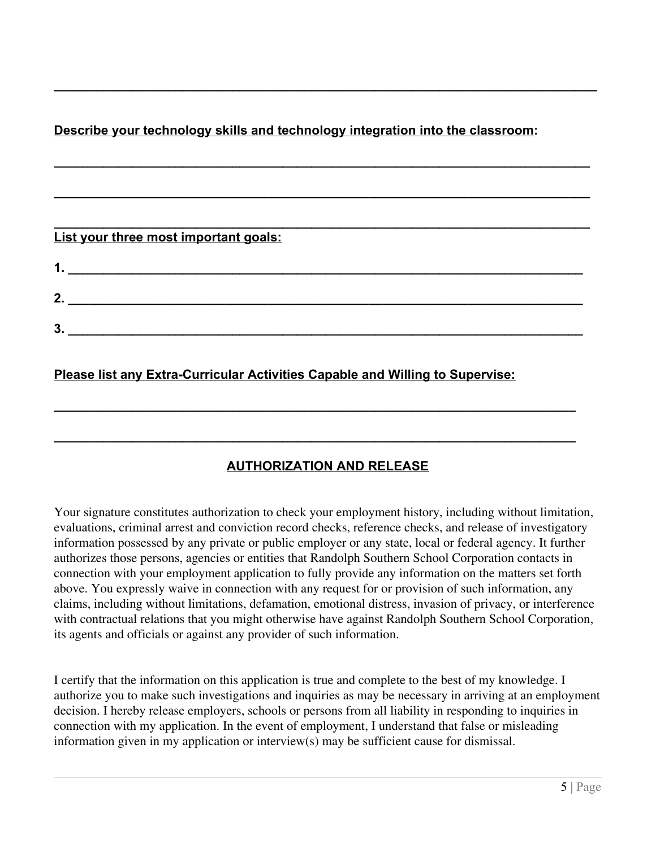# **Describe your technology skills and technology integration into the classroom:**

**\_\_\_\_\_\_\_\_\_\_\_\_\_\_\_\_\_\_\_\_\_\_\_\_\_\_\_\_\_\_\_\_\_\_\_\_\_\_\_\_\_\_\_\_\_\_\_\_\_\_\_\_\_\_\_\_\_\_\_\_\_\_\_\_\_\_\_\_\_\_\_\_\_\_\_\_**

**\_\_\_\_\_\_\_\_\_\_\_\_\_\_\_\_\_\_\_\_\_\_\_\_\_\_\_\_\_\_\_\_\_\_\_\_\_\_\_\_\_\_\_\_\_\_\_\_\_\_\_\_\_\_\_\_\_\_\_\_\_\_\_\_\_\_\_\_\_\_\_\_\_\_\_**

**\_\_\_\_\_\_\_\_\_\_\_\_\_\_\_\_\_\_\_\_\_\_\_\_\_\_\_\_\_\_\_\_\_\_\_\_\_\_\_\_\_\_\_\_\_\_\_\_\_\_\_\_\_\_\_\_\_\_\_\_\_\_\_\_\_\_\_\_\_\_\_\_\_\_\_**

**\_\_\_\_\_\_\_\_\_\_\_\_\_\_\_\_\_\_\_\_\_\_\_\_\_\_\_\_\_\_\_\_\_\_\_\_\_\_\_\_\_\_\_\_\_\_\_\_\_\_\_\_\_\_\_\_\_\_\_\_\_\_\_\_\_\_\_\_\_\_\_\_\_\_\_**

| List your three most important goals: |  |  |
|---------------------------------------|--|--|
| 1                                     |  |  |
| 2.                                    |  |  |
| 3                                     |  |  |
|                                       |  |  |

## **Please list any Extra-Curricular Activities Capable and Willing to Supervise:**

## **AUTHORIZATION AND RELEASE**

**\_\_\_\_\_\_\_\_\_\_\_\_\_\_\_\_\_\_\_\_\_\_\_\_\_\_\_\_\_\_\_\_\_\_\_\_\_\_\_\_\_\_\_\_\_\_\_\_\_\_\_\_\_\_\_\_\_\_\_\_\_\_\_\_\_\_\_\_\_\_\_\_\_**

**\_\_\_\_\_\_\_\_\_\_\_\_\_\_\_\_\_\_\_\_\_\_\_\_\_\_\_\_\_\_\_\_\_\_\_\_\_\_\_\_\_\_\_\_\_\_\_\_\_\_\_\_\_\_\_\_\_\_\_\_\_\_\_\_\_\_\_\_\_\_\_\_\_**

Your signature constitutes authorization to check your employment history, including without limitation, evaluations, criminal arrest and conviction record checks, reference checks, and release of investigatory information possessed by any private or public employer or any state, local or federal agency. It further authorizes those persons, agencies or entities that Randolph Southern School Corporation contacts in connection with your employment application to fully provide any information on the matters set forth above. You expressly waive in connection with any request for or provision of such information, any claims, including without limitations, defamation, emotional distress, invasion of privacy, or interference with contractual relations that you might otherwise have against Randolph Southern School Corporation, its agents and officials or against any provider of such information.

I certify that the information on this application is true and complete to the best of my knowledge. I authorize you to make such investigations and inquiries as may be necessary in arriving at an employment decision. I hereby release employers, schools or persons from all liability in responding to inquiries in connection with my application. In the event of employment, I understand that false or misleading information given in my application or interview(s) may be sufficient cause for dismissal.